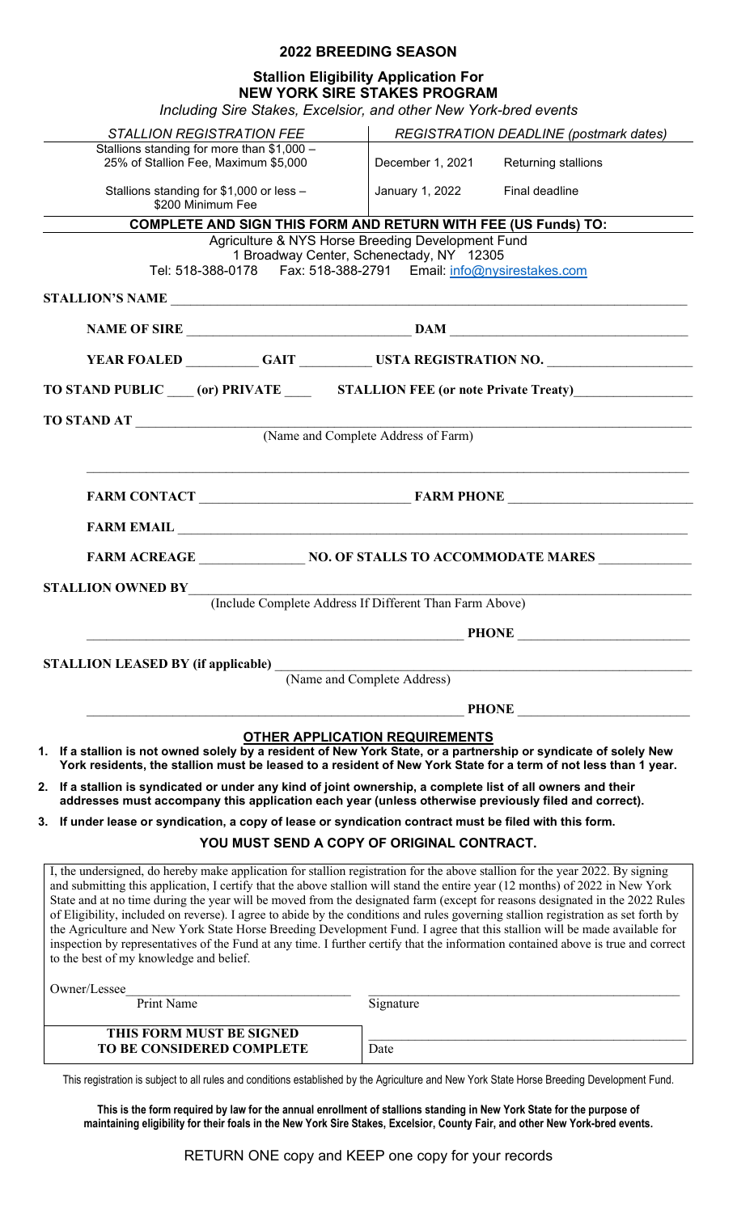## **2022 BREEDING SEASON**

## **Stallion Eligibility Application For NEW YORK SIRE STAKES PROGRAM**

*Including Sire Stakes, Excelsior, and other New York-bred events*

| moluumy one olanes, Execision, and olifer new Tone-bied events                                                                                                                                                                                                                                                                                                                                                                                                                                                                                                                                                                                                                                                                                                                                                                                                                                                                                                                                                                                                                                                                                                                                    |                                                   |                                               |
|---------------------------------------------------------------------------------------------------------------------------------------------------------------------------------------------------------------------------------------------------------------------------------------------------------------------------------------------------------------------------------------------------------------------------------------------------------------------------------------------------------------------------------------------------------------------------------------------------------------------------------------------------------------------------------------------------------------------------------------------------------------------------------------------------------------------------------------------------------------------------------------------------------------------------------------------------------------------------------------------------------------------------------------------------------------------------------------------------------------------------------------------------------------------------------------------------|---------------------------------------------------|-----------------------------------------------|
| <b>STALLION REGISTRATION FEE</b>                                                                                                                                                                                                                                                                                                                                                                                                                                                                                                                                                                                                                                                                                                                                                                                                                                                                                                                                                                                                                                                                                                                                                                  |                                                   | <b>REGISTRATION DEADLINE (postmark dates)</b> |
| Stallions standing for more than \$1,000 -<br>25% of Stallion Fee, Maximum \$5,000                                                                                                                                                                                                                                                                                                                                                                                                                                                                                                                                                                                                                                                                                                                                                                                                                                                                                                                                                                                                                                                                                                                | December 1, 2021                                  | <b>Returning stallions</b>                    |
| Stallions standing for \$1,000 or less -<br>\$200 Minimum Fee                                                                                                                                                                                                                                                                                                                                                                                                                                                                                                                                                                                                                                                                                                                                                                                                                                                                                                                                                                                                                                                                                                                                     | January 1, 2022 Final deadline                    |                                               |
| <b>COMPLETE AND SIGN THIS FORM AND RETURN WITH FEE (US Funds) TO:</b>                                                                                                                                                                                                                                                                                                                                                                                                                                                                                                                                                                                                                                                                                                                                                                                                                                                                                                                                                                                                                                                                                                                             |                                                   |                                               |
|                                                                                                                                                                                                                                                                                                                                                                                                                                                                                                                                                                                                                                                                                                                                                                                                                                                                                                                                                                                                                                                                                                                                                                                                   | Agriculture & NYS Horse Breeding Development Fund |                                               |
|                                                                                                                                                                                                                                                                                                                                                                                                                                                                                                                                                                                                                                                                                                                                                                                                                                                                                                                                                                                                                                                                                                                                                                                                   | 1 Broadway Center, Schenectady, NY 12305          |                                               |
|                                                                                                                                                                                                                                                                                                                                                                                                                                                                                                                                                                                                                                                                                                                                                                                                                                                                                                                                                                                                                                                                                                                                                                                                   |                                                   |                                               |
|                                                                                                                                                                                                                                                                                                                                                                                                                                                                                                                                                                                                                                                                                                                                                                                                                                                                                                                                                                                                                                                                                                                                                                                                   |                                                   |                                               |
|                                                                                                                                                                                                                                                                                                                                                                                                                                                                                                                                                                                                                                                                                                                                                                                                                                                                                                                                                                                                                                                                                                                                                                                                   |                                                   |                                               |
| YEAR FOALED GAIT GAIT USTA REGISTRATION NO.                                                                                                                                                                                                                                                                                                                                                                                                                                                                                                                                                                                                                                                                                                                                                                                                                                                                                                                                                                                                                                                                                                                                                       |                                                   |                                               |
|                                                                                                                                                                                                                                                                                                                                                                                                                                                                                                                                                                                                                                                                                                                                                                                                                                                                                                                                                                                                                                                                                                                                                                                                   |                                                   |                                               |
| TO STAND AT (Name and Complete Address of Farm)                                                                                                                                                                                                                                                                                                                                                                                                                                                                                                                                                                                                                                                                                                                                                                                                                                                                                                                                                                                                                                                                                                                                                   |                                                   |                                               |
|                                                                                                                                                                                                                                                                                                                                                                                                                                                                                                                                                                                                                                                                                                                                                                                                                                                                                                                                                                                                                                                                                                                                                                                                   |                                                   |                                               |
|                                                                                                                                                                                                                                                                                                                                                                                                                                                                                                                                                                                                                                                                                                                                                                                                                                                                                                                                                                                                                                                                                                                                                                                                   |                                                   |                                               |
|                                                                                                                                                                                                                                                                                                                                                                                                                                                                                                                                                                                                                                                                                                                                                                                                                                                                                                                                                                                                                                                                                                                                                                                                   |                                                   |                                               |
|                                                                                                                                                                                                                                                                                                                                                                                                                                                                                                                                                                                                                                                                                                                                                                                                                                                                                                                                                                                                                                                                                                                                                                                                   |                                                   |                                               |
|                                                                                                                                                                                                                                                                                                                                                                                                                                                                                                                                                                                                                                                                                                                                                                                                                                                                                                                                                                                                                                                                                                                                                                                                   |                                                   |                                               |
| <b>STALLION OWNED BY</b> (Include Complete Address If Different Than Farm Above)                                                                                                                                                                                                                                                                                                                                                                                                                                                                                                                                                                                                                                                                                                                                                                                                                                                                                                                                                                                                                                                                                                                  |                                                   |                                               |
|                                                                                                                                                                                                                                                                                                                                                                                                                                                                                                                                                                                                                                                                                                                                                                                                                                                                                                                                                                                                                                                                                                                                                                                                   |                                                   |                                               |
|                                                                                                                                                                                                                                                                                                                                                                                                                                                                                                                                                                                                                                                                                                                                                                                                                                                                                                                                                                                                                                                                                                                                                                                                   |                                                   |                                               |
| <b>STALLION LEASED BY (if applicable)</b>                                                                                                                                                                                                                                                                                                                                                                                                                                                                                                                                                                                                                                                                                                                                                                                                                                                                                                                                                                                                                                                                                                                                                         | (Name and Complete Address)                       |                                               |
|                                                                                                                                                                                                                                                                                                                                                                                                                                                                                                                                                                                                                                                                                                                                                                                                                                                                                                                                                                                                                                                                                                                                                                                                   |                                                   | <b>PHONE</b>                                  |
|                                                                                                                                                                                                                                                                                                                                                                                                                                                                                                                                                                                                                                                                                                                                                                                                                                                                                                                                                                                                                                                                                                                                                                                                   |                                                   |                                               |
|                                                                                                                                                                                                                                                                                                                                                                                                                                                                                                                                                                                                                                                                                                                                                                                                                                                                                                                                                                                                                                                                                                                                                                                                   |                                                   |                                               |
| York residents, the stallion must be leased to a resident of New York State for a term of not less than 1 year.<br>addresses must accompany this application each year (unless otherwise previously filed and correct).                                                                                                                                                                                                                                                                                                                                                                                                                                                                                                                                                                                                                                                                                                                                                                                                                                                                                                                                                                           | <b>OTHER APPLICATION REQUIREMENTS</b>             |                                               |
|                                                                                                                                                                                                                                                                                                                                                                                                                                                                                                                                                                                                                                                                                                                                                                                                                                                                                                                                                                                                                                                                                                                                                                                                   |                                                   |                                               |
|                                                                                                                                                                                                                                                                                                                                                                                                                                                                                                                                                                                                                                                                                                                                                                                                                                                                                                                                                                                                                                                                                                                                                                                                   | YOU MUST SEND A COPY OF ORIGINAL CONTRACT.        |                                               |
| 1. If a stallion is not owned solely by a resident of New York State, or a partnership or syndicate of solely New<br>2. If a stallion is syndicated or under any kind of joint ownership, a complete list of all owners and their<br>3. If under lease or syndication, a copy of lease or syndication contract must be filed with this form.<br>I, the undersigned, do hereby make application for stallion registration for the above stallion for the year 2022. By signing<br>and submitting this application, I certify that the above stallion will stand the entire year (12 months) of 2022 in New York<br>State and at no time during the year will be moved from the designated farm (except for reasons designated in the 2022 Rules<br>of Eligibility, included on reverse). I agree to abide by the conditions and rules governing stallion registration as set forth by<br>the Agriculture and New York State Horse Breeding Development Fund. I agree that this stallion will be made available for<br>inspection by representatives of the Fund at any time. I further certify that the information contained above is true and correct<br>to the best of my knowledge and belief. |                                                   |                                               |
| Owner/Lessee                                                                                                                                                                                                                                                                                                                                                                                                                                                                                                                                                                                                                                                                                                                                                                                                                                                                                                                                                                                                                                                                                                                                                                                      |                                                   |                                               |
| <b>Print Name</b>                                                                                                                                                                                                                                                                                                                                                                                                                                                                                                                                                                                                                                                                                                                                                                                                                                                                                                                                                                                                                                                                                                                                                                                 | Signature                                         |                                               |
| THIS FORM MUST BE SIGNED<br>TO BE CONSIDERED COMPLETE                                                                                                                                                                                                                                                                                                                                                                                                                                                                                                                                                                                                                                                                                                                                                                                                                                                                                                                                                                                                                                                                                                                                             | Date                                              |                                               |

**This is the form required by law for the annual enrollment of stallions standing in New York State for the purpose of maintaining eligibility for their foals in the New York Sire Stakes, Excelsior, County Fair, and other New York-bred events.**